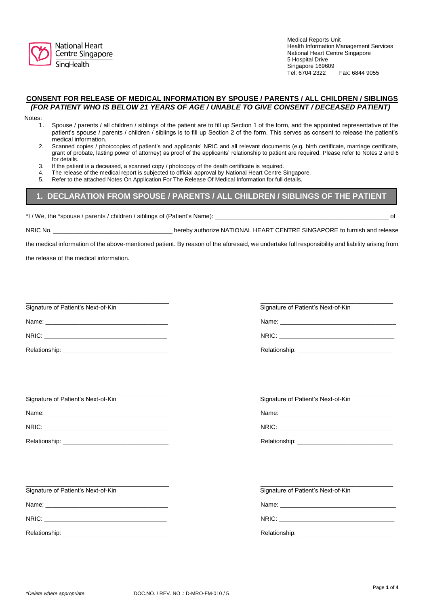

**National Heart** Centre Singapore SingHealth

Medical Reports Unit Health Information Management Services National Heart Centre Singapore 5 Hospital Drive Singapore 169609<br>Tel: 6704 2322 Fax: 6844 9055

## **CONSENT FOR RELEASE OF MEDICAL INFORMATION BY SPOUSE / PARENTS / ALL CHILDREN / SIBLINGS** *(FOR PATIENT WHO IS BELOW 21 YEARS OF AGE / UNABLE TO GIVE CONSENT / DECEASED PATIENT)*

Notes:

- 1. Spouse / parents / all children / siblings of the patient are to fill up Section 1 of the form, and the appointed representative of the patient's spouse / parents / children / siblings is to fill up Section 2 of the form. This serves as consent to release the patient's medical information.
- 2. Scanned copies / photocopies of patient's and applicants' NRIC and all relevant documents (e.g. birth certificate, marriage certificate, grant of probate, lasting power of attorney) as proof of the applicants' relationship to patient are required. Please refer to Notes 2 and 6 for details.
- 3. If the patient is a deceased, a scanned copy / photocopy of the death certificate is required.
- 4. The release of the medical report is subjected to official approval by National Heart Centre Singapore.<br>5. Refer to the attached Notes On Application For The Release Of Medical Information for full details
- 5. Refer to the attached Notes On Application For The Release Of Medical Information for full details.

## **1. DECLARATION FROM SPOUSE / PARENTS / ALL CHILDREN / SIBLINGS OF THE PATIENT**

\*I / We, the \*spouse / parents / children / siblings of (Patient's Name): \_\_\_\_\_\_\_\_\_\_\_\_\_\_\_\_\_\_\_\_\_\_\_\_\_\_\_\_\_\_\_\_\_\_\_\_\_\_\_\_\_\_\_\_\_\_\_\_\_\_\_ of

NRIC No. \_\_\_\_\_\_\_\_\_\_\_\_\_\_\_\_\_\_\_\_\_\_\_\_\_\_\_\_\_\_\_\_\_\_\_ hereby authorize NATIONAL HEART CENTRE SINGAPORE to furnish and release

the medical information of the above-mentioned patient. By reason of the aforesaid, we undertake full responsibility and liability arising from

the release of the medical information.

\_\_\_\_\_\_\_\_\_\_\_\_\_\_\_\_\_\_\_\_\_\_\_\_\_\_\_\_\_\_\_\_\_\_\_\_\_\_\_\_\_\_ \_\_\_\_\_\_\_\_\_\_\_\_\_\_\_\_\_\_\_\_\_\_\_\_\_\_\_\_\_\_\_\_\_\_\_\_\_\_\_ Signature of Patient's Next-of-Kin Signature of Patient's Next-of-Kin Signature of Patient's Next-of-Kin

| NRIC: |  |  |  |
|-------|--|--|--|
|       |  |  |  |
|       |  |  |  |
|       |  |  |  |
|       |  |  |  |

Name: \_\_\_\_\_\_\_\_\_\_\_\_\_\_\_\_\_\_\_\_\_\_\_\_\_\_\_\_\_\_\_\_\_\_\_\_ Name: \_\_\_\_\_\_\_\_\_\_\_\_\_\_\_\_\_\_\_\_\_\_\_\_\_\_\_\_\_\_\_\_\_\_

NRIC: \_\_\_\_\_\_\_\_\_\_\_\_\_\_\_\_\_\_\_\_\_\_\_\_\_\_\_\_\_\_\_\_\_\_\_\_ NRIC: \_\_\_\_\_\_\_\_\_\_\_\_\_\_\_\_\_\_\_\_\_\_\_\_\_\_\_\_\_\_\_\_\_\_

Relationship:

\_\_\_\_\_\_\_\_\_\_\_\_\_\_\_\_\_\_\_\_\_\_\_\_\_\_\_\_\_\_\_\_\_\_\_\_\_\_\_\_\_\_ \_\_\_\_\_\_\_\_\_\_\_\_\_\_\_\_\_\_\_\_\_\_\_\_\_\_\_\_\_\_\_\_\_\_\_\_\_\_\_ Signature of Patient's Next-of-Kin Signature of Patient's Next-of-Kin Signature of Patient's Next-of-Kin

Name: \_\_\_\_\_\_\_\_\_\_\_\_\_\_\_\_\_\_\_\_\_\_\_\_\_\_\_\_\_\_\_\_\_\_\_\_ Name: \_\_\_\_\_\_\_\_\_\_\_\_\_\_\_\_\_\_\_\_\_\_\_\_\_\_\_\_\_\_\_\_\_\_

NRIC: \_\_\_\_\_\_\_\_\_\_\_\_\_\_\_\_\_\_\_\_\_\_\_\_\_\_\_\_\_\_\_\_\_\_\_\_ NRIC: \_\_\_\_\_\_\_\_\_\_\_\_\_\_\_\_\_\_\_\_\_\_\_\_\_\_\_\_\_\_\_\_\_\_

Relationship: \_\_\_\_\_\_\_\_\_\_\_\_\_\_\_\_\_\_\_\_\_\_\_\_\_\_\_\_\_\_\_ Relationship: \_\_\_\_\_\_\_\_\_\_\_\_\_\_\_\_\_\_\_\_\_\_\_\_\_\_\_\_

Signature of Patient's Next-of-Kin Signature of Patient's Next-of-Kin Signature of Patient's Next-of-Kin

Name: \_\_\_\_\_\_\_\_\_\_\_\_\_\_\_\_\_\_\_\_\_\_\_\_\_\_\_\_\_\_\_\_\_\_\_\_ Name: \_\_\_\_\_\_\_\_\_\_\_\_\_\_\_\_\_\_\_\_\_\_\_\_\_\_\_\_\_\_\_\_\_\_

NRIC: \_\_\_\_\_\_\_\_\_\_\_\_\_\_\_\_\_\_\_\_\_\_\_\_\_\_\_\_\_\_\_\_\_\_\_\_ NRIC: \_\_\_\_\_\_\_\_\_\_\_\_\_\_\_\_\_\_\_\_\_\_\_\_\_\_\_\_\_\_\_\_\_\_

Relationship: \_\_\_\_\_\_\_\_\_\_\_\_\_\_\_\_\_\_\_\_\_\_\_\_\_\_\_\_\_\_\_ Relationship: \_\_\_\_\_\_\_\_\_\_\_\_\_\_\_\_\_\_\_\_\_\_\_\_\_\_\_\_

\_\_\_\_\_\_\_\_\_\_\_\_\_\_\_\_\_\_\_\_\_\_\_\_\_\_\_\_\_\_\_\_\_\_\_\_\_\_\_\_\_\_ \_\_\_\_\_\_\_\_\_\_\_\_\_\_\_\_\_\_\_\_\_\_\_\_\_\_\_\_\_\_\_\_\_\_\_\_\_\_\_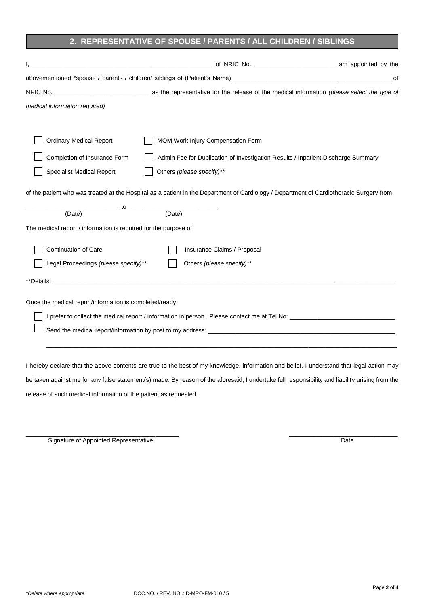## **2. REPRESENTATIVE OF SPOUSE / PARENTS / ALL CHILDREN / SIBLINGS**

|                                                                                                                                                                                                                                | abovementioned *spouse / parents / children/ siblings of (Patient's Name) [19] and the content of the content of the content of the content of the content of the content of the content of the content of the content of the | оf |
|--------------------------------------------------------------------------------------------------------------------------------------------------------------------------------------------------------------------------------|-------------------------------------------------------------------------------------------------------------------------------------------------------------------------------------------------------------------------------|----|
|                                                                                                                                                                                                                                |                                                                                                                                                                                                                               |    |
| medical information required)                                                                                                                                                                                                  |                                                                                                                                                                                                                               |    |
|                                                                                                                                                                                                                                |                                                                                                                                                                                                                               |    |
| <b>Ordinary Medical Report</b>                                                                                                                                                                                                 | MOM Work Injury Compensation Form                                                                                                                                                                                             |    |
| Completion of Insurance Form                                                                                                                                                                                                   | Admin Fee for Duplication of Investigation Results / Inpatient Discharge Summary                                                                                                                                              |    |
| <b>Specialist Medical Report</b>                                                                                                                                                                                               | Others (please specify)**                                                                                                                                                                                                     |    |
|                                                                                                                                                                                                                                | of the patient who was treated at the Hospital as a patient in the Department of Cardiology / Department of Cardiothoracic Surgery from                                                                                       |    |
|                                                                                                                                                                                                                                |                                                                                                                                                                                                                               |    |
| (Date)                                                                                                                                                                                                                         |                                                                                                                                                                                                                               |    |
| The medical report / information is required for the purpose of                                                                                                                                                                |                                                                                                                                                                                                                               |    |
| Continuation of Care                                                                                                                                                                                                           | Insurance Claims / Proposal                                                                                                                                                                                                   |    |
| Legal Proceedings (please specify)**                                                                                                                                                                                           | Others (please specify)**                                                                                                                                                                                                     |    |
| **Details: when the contract of the contract of the contract of the contract of the contract of the contract of the contract of the contract of the contract of the contract of the contract of the contract of the contract o |                                                                                                                                                                                                                               |    |
| Once the medical report/information is completed/ready,                                                                                                                                                                        |                                                                                                                                                                                                                               |    |
|                                                                                                                                                                                                                                |                                                                                                                                                                                                                               |    |
|                                                                                                                                                                                                                                |                                                                                                                                                                                                                               |    |
|                                                                                                                                                                                                                                |                                                                                                                                                                                                                               |    |
|                                                                                                                                                                                                                                |                                                                                                                                                                                                                               |    |

I hereby declare that the above contents are true to the best of my knowledge, information and belief. I understand that legal action may be taken against me for any false statement(s) made. By reason of the aforesaid, I undertake full responsibility and liability arising from the release of such medical information of the patient as requested.

 $\_$  , and the set of the set of the set of the set of the set of the set of the set of the set of the set of the set of the set of the set of the set of the set of the set of the set of the set of the set of the set of th Signature of Appointed Representative Date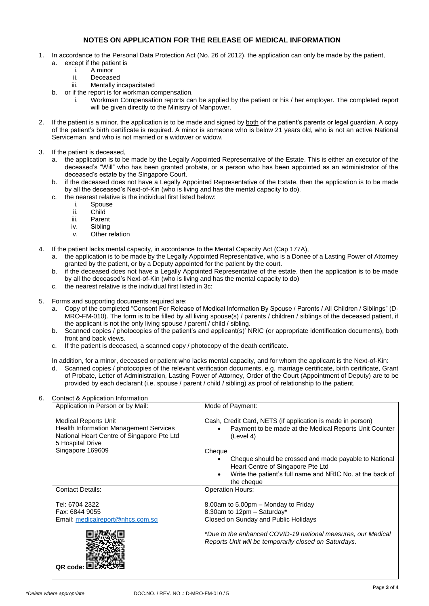## **NOTES ON APPLICATION FOR THE RELEASE OF MEDICAL INFORMATION**

- In accordance to the Personal Data Protection Act (No. 26 of 2012), the application can only be made by the patient, a. except if the patient is
	- i. A minor
	- Deceased
	- iii. Mentally incapacitated
	- b. or if the report is for workman compensation.
		- i. Workman Compensation reports can be applied by the patient or his / her employer. The completed report will be given directly to the Ministry of Manpower.
- 2. If the patient is a minor, the application is to be made and signed by both of the patient's parents or legal guardian. A copy of the patient's birth certificate is required. A minor is someone who is below 21 years old, who is not an active National Serviceman, and who is not married or a widower or widow.
- 3. If the patient is deceased,
	- a. the application is to be made by the Legally Appointed Representative of the Estate. This is either an executor of the deceased's "Will" who has been granted probate, or a person who has been appointed as an administrator of the deceased's estate by the Singapore Court.
	- b. if the deceased does not have a Legally Appointed Representative of the Estate, then the application is to be made by all the deceased's Next-of-Kin (who is living and has the mental capacity to do).
	- c. the nearest relative is the individual first listed below:
		- i. Spouse
		-
		- ii. Child<br>iii. Parer
		- iii. Parent<br>iv. Sibling Sibling
		- v. Other relation
- 4. If the patient lacks mental capacity, in accordance to the Mental Capacity Act (Cap 177A),
	- a. the application is to be made by the Legally Appointed Representative, who is a Donee of a Lasting Power of Attorney granted by the patient, or by a Deputy appointed for the patient by the court.
	- b. if the deceased does not have a Legally Appointed Representative of the estate, then the application is to be made by all the deceased's Next-of-Kin (who is living and has the mental capacity to do)
	- c. the nearest relative is the individual first listed in 3c:
- 5. Forms and supporting documents required are:
	- a. Copy of the completed "Consent For Release of Medical Information By Spouse / Parents / All Children / Siblings" (D-MRO-FM-010). The form is to be filled by all living spouse(s) / parents / children / siblings of the deceased patient, if the applicant is not the only living spouse / parent / child / sibling.
	- b. Scanned copies / photocopies of the patient's and applicant(s)' NRIC (or appropriate identification documents), both front and back views.
	- c. If the patient is deceased, a scanned copy / photocopy of the death certificate.

In addition, for a minor, deceased or patient who lacks mental capacity, and for whom the applicant is the Next-of-Kin:

d. Scanned copies / photocopies of the relevant verification documents, e.g. marriage certificate, birth certificate, Grant of Probate, Letter of Administration, Lasting Power of Attorney, Order of the Court (Appointment of Deputy) are to be provided by each declarant (i.e. spouse / parent / child / sibling) as proof of relationship to the patient.

|--|

| Application in Person or by Mail:                                                                                                                                  | Mode of Payment:                                                                                                                            |
|--------------------------------------------------------------------------------------------------------------------------------------------------------------------|---------------------------------------------------------------------------------------------------------------------------------------------|
| <b>Medical Reports Unit</b><br><b>Health Information Management Services</b><br>National Heart Centre of Singapore Pte Ltd<br>5 Hospital Drive<br>Singapore 169609 | Cash, Credit Card, NETS (if application is made in person)<br>Payment to be made at the Medical Reports Unit Counter<br>(Level 4)<br>Cheque |
|                                                                                                                                                                    | Cheque should be crossed and made payable to National<br>Heart Centre of Singapore Pte Ltd                                                  |
|                                                                                                                                                                    | Write the patient's full name and NRIC No. at the back of<br>the cheque                                                                     |
| <b>Contact Details:</b>                                                                                                                                            | <b>Operation Hours:</b>                                                                                                                     |
| Tel: 6704 2322<br>Fax: 6844 9055<br>Email: medicalreport@nhcs.com.sg                                                                                               | 8.00am to 5.00pm - Monday to Friday<br>8.30am to 12pm - Saturday*<br>Closed on Sunday and Public Holidays                                   |
| QR code:                                                                                                                                                           | *Due to the enhanced COVID-19 national measures, our Medical<br>Reports Unit will be temporarily closed on Saturdays.                       |